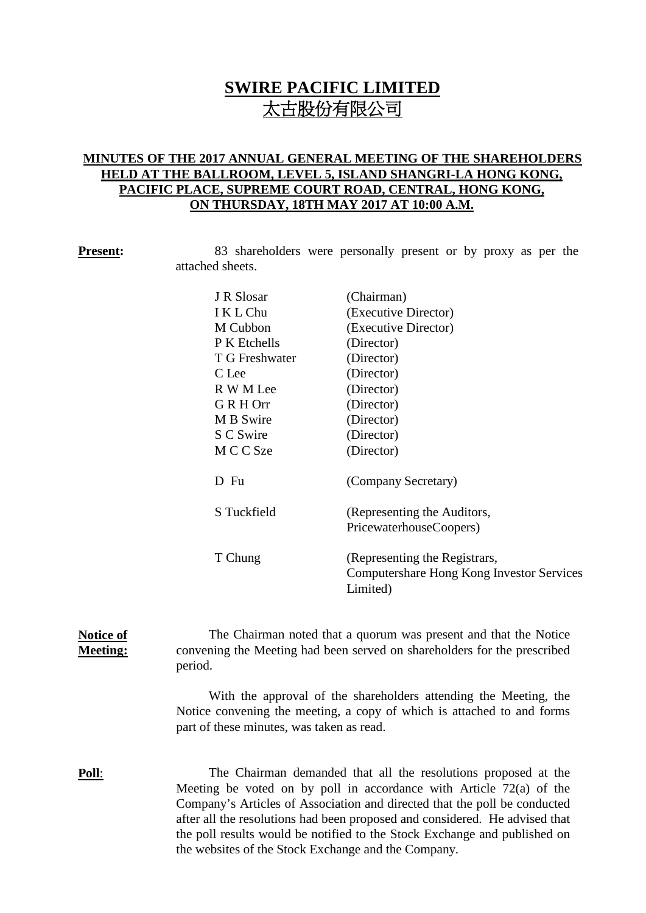# **SWIRE PACIFIC LIMITED** 太古股份有限公司

### **MINUTES OF THE 2017 ANNUAL GENERAL MEETING OF THE SHAREHOLDERS HELD AT THE BALLROOM, LEVEL 5, ISLAND SHANGRI-LA HONG KONG, PACIFIC PLACE, SUPREME COURT ROAD, CENTRAL, HONG KONG, ON THURSDAY, 18TH MAY 2017 AT 10:00 A.M.**

**Present:** 83 shareholders were personally present or by proxy as per the attached sheets.

| J R Slosar     | (Chairman)                                |  |
|----------------|-------------------------------------------|--|
| I K L Chu      | (Executive Director)                      |  |
| M Cubbon       | (Executive Director)                      |  |
| P K Etchells   | (Director)                                |  |
| T G Freshwater | (Director)                                |  |
| C Lee          | (Director)                                |  |
| R W M Lee      | (Director)                                |  |
| G R H Orr      | (Director)                                |  |
| M B Swire      | (Director)                                |  |
| S C Swire      | (Director)                                |  |
| M C C Sze      | (Director)                                |  |
|                |                                           |  |
| D Fu           | (Company Secretary)                       |  |
|                |                                           |  |
| S Tuckfield    | (Representing the Auditors,               |  |
|                | PricewaterhouseCoopers)                   |  |
|                |                                           |  |
| T Chung        | (Representing the Registrars,             |  |
|                | Computershare Hong Kong Investor Services |  |
|                | Limited)                                  |  |

### **Notice of Meeting:** The Chairman noted that a quorum was present and that the Notice convening the Meeting had been served on shareholders for the prescribed period.

With the approval of the shareholders attending the Meeting, the Notice convening the meeting, a copy of which is attached to and forms part of these minutes, was taken as read.

**Poll**: The Chairman demanded that all the resolutions proposed at the Meeting be voted on by poll in accordance with Article 72(a) of the Company's Articles of Association and directed that the poll be conducted after all the resolutions had been proposed and considered. He advised that the poll results would be notified to the Stock Exchange and published on the websites of the Stock Exchange and the Company.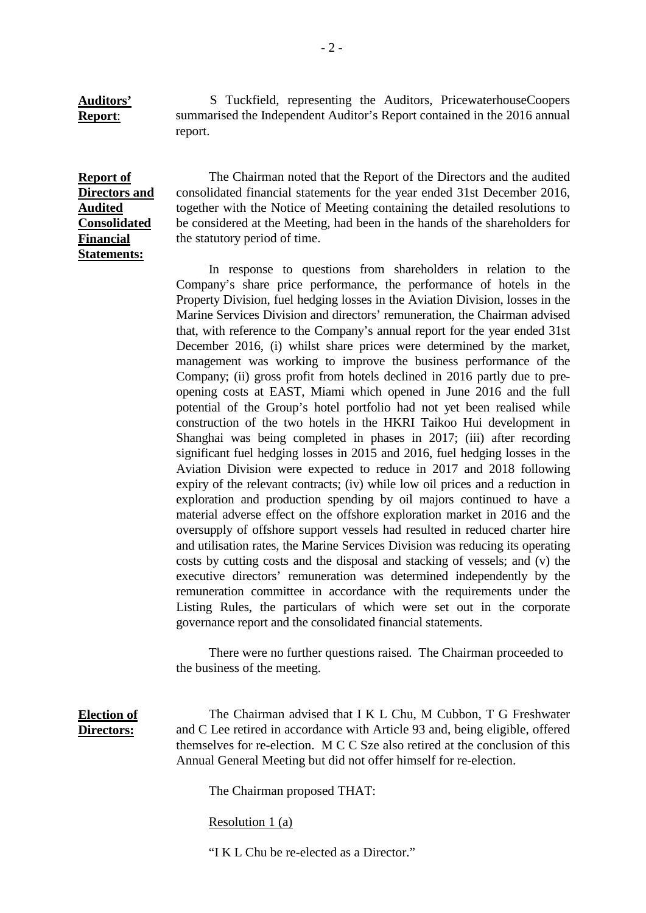S Tuckfield, representing the Auditors, PricewaterhouseCoopers summarised the Independent Auditor's Report contained in the 2016 annual report.

**Report of Directors and Audited Consolidated Financial Statements:**

**Auditors' Report**:

> The Chairman noted that the Report of the Directors and the audited consolidated financial statements for the year ended 31st December 2016, together with the Notice of Meeting containing the detailed resolutions to be considered at the Meeting, had been in the hands of the shareholders for the statutory period of time.

> In response to questions from shareholders in relation to the Company's share price performance, the performance of hotels in the Property Division, fuel hedging losses in the Aviation Division, losses in the Marine Services Division and directors' remuneration, the Chairman advised that, with reference to the Company's annual report for the year ended 31st December 2016, (i) whilst share prices were determined by the market, management was working to improve the business performance of the Company; (ii) gross profit from hotels declined in 2016 partly due to preopening costs at EAST, Miami which opened in June 2016 and the full potential of the Group's hotel portfolio had not yet been realised while construction of the two hotels in the HKRI Taikoo Hui development in Shanghai was being completed in phases in 2017; (iii) after recording significant fuel hedging losses in 2015 and 2016, fuel hedging losses in the Aviation Division were expected to reduce in 2017 and 2018 following expiry of the relevant contracts; (iv) while low oil prices and a reduction in exploration and production spending by oil majors continued to have a material adverse effect on the offshore exploration market in 2016 and the oversupply of offshore support vessels had resulted in reduced charter hire and utilisation rates, the Marine Services Division was reducing its operating costs by cutting costs and the disposal and stacking of vessels; and (v) the executive directors' remuneration was determined independently by the remuneration committee in accordance with the requirements under the Listing Rules, the particulars of which were set out in the corporate governance report and the consolidated financial statements.

There were no further questions raised. The Chairman proceeded to the business of the meeting.

**Election of Directors:**

The Chairman advised that I K L Chu, M Cubbon, T G Freshwater and C Lee retired in accordance with Article 93 and, being eligible, offered themselves for re-election. M C C Sze also retired at the conclusion of this Annual General Meeting but did not offer himself for re-election.

The Chairman proposed THAT:

Resolution 1 (a)

"I K L Chu be re-elected as a Director."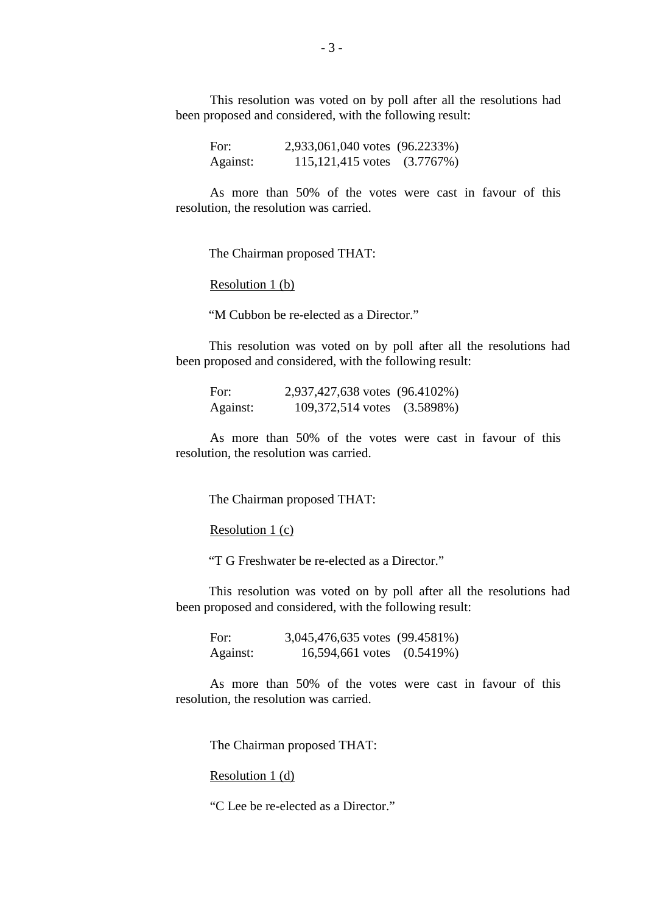This resolution was voted on by poll after all the resolutions had been proposed and considered, with the following result:

For: 2,933,061,040 votes (96.2233%) Against: 115,121,415 votes (3.7767%)

As more than 50% of the votes were cast in favour of this resolution, the resolution was carried.

The Chairman proposed THAT:

Resolution 1 (b)

"M Cubbon be re-elected as a Director."

This resolution was voted on by poll after all the resolutions had been proposed and considered, with the following result:

| For:     | 2,937,427,638 votes (96.4102%) |  |
|----------|--------------------------------|--|
| Against: | 109,372,514 votes (3.5898%)    |  |

As more than 50% of the votes were cast in favour of this resolution, the resolution was carried.

The Chairman proposed THAT:

Resolution 1 (c)

"T G Freshwater be re-elected as a Director."

This resolution was voted on by poll after all the resolutions had been proposed and considered, with the following result:

For: 3,045,476,635 votes (99.4581%) Against: 16,594,661 votes (0.5419%)

As more than 50% of the votes were cast in favour of this resolution, the resolution was carried.

The Chairman proposed THAT:

Resolution 1 (d)

"C Lee be re-elected as a Director."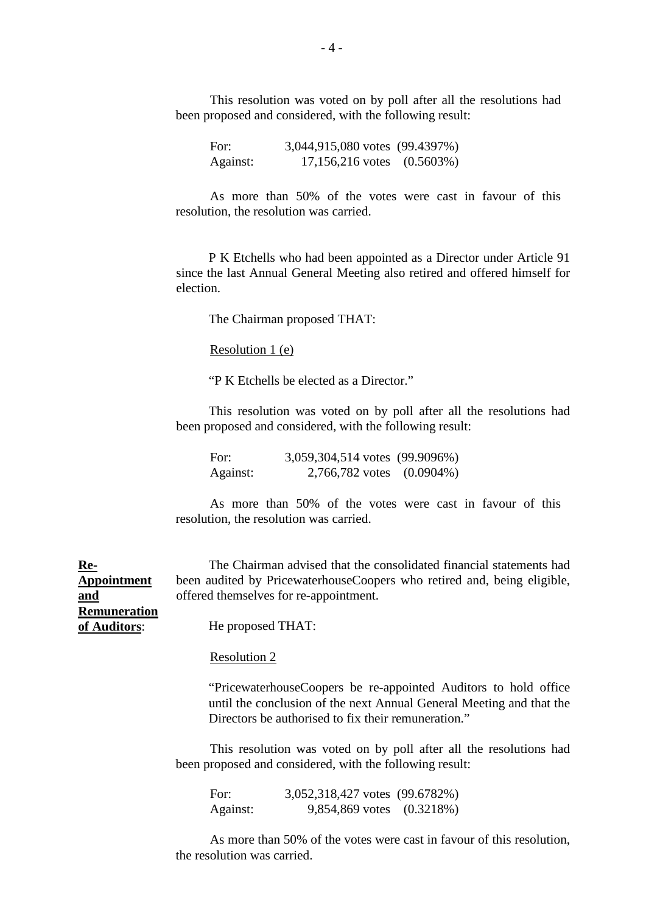This resolution was voted on by poll after all the resolutions had been proposed and considered, with the following result:

For: 3,044,915,080 votes (99.4397%) Against: 17,156,216 votes (0.5603%)

As more than 50% of the votes were cast in favour of this resolution, the resolution was carried.

P K Etchells who had been appointed as a Director under Article 91 since the last Annual General Meeting also retired and offered himself for election.

The Chairman proposed THAT:

Resolution 1 (e)

"P K Etchells be elected as a Director."

This resolution was voted on by poll after all the resolutions had been proposed and considered, with the following result:

For: 3,059,304,514 votes (99.9096%) Against: 2,766,782 votes (0.0904%)

As more than 50% of the votes were cast in favour of this resolution, the resolution was carried.

The Chairman advised that the consolidated financial statements had been audited by PricewaterhouseCoopers who retired and, being eligible, offered themselves for re-appointment.

**and Remuneration of Auditors**:

**Appointment** 

**Re-**

He proposed THAT:

### Resolution 2

"PricewaterhouseCoopers be re-appointed Auditors to hold office until the conclusion of the next Annual General Meeting and that the Directors be authorised to fix their remuneration."

This resolution was voted on by poll after all the resolutions had been proposed and considered, with the following result:

For: 3,052,318,427 votes (99.6782%) Against: 9,854,869 votes (0.3218%)

As more than 50% of the votes were cast in favour of this resolution, the resolution was carried.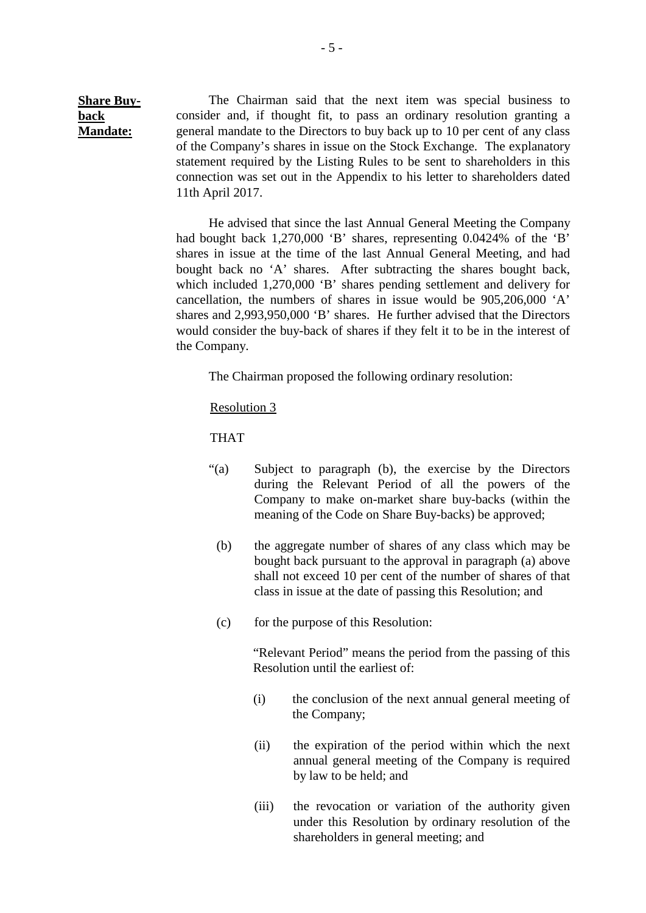**Share Buyback Mandate:** The Chairman said that the next item was special business to consider and, if thought fit, to pass an ordinary resolution granting a general mandate to the Directors to buy back up to 10 per cent of any class of the Company's shares in issue on the Stock Exchange. The explanatory statement required by the Listing Rules to be sent to shareholders in this connection was set out in the Appendix to his letter to shareholders dated 11th April 2017.

> He advised that since the last Annual General Meeting the Company had bought back 1,270,000 'B' shares, representing 0.0424% of the 'B' shares in issue at the time of the last Annual General Meeting, and had bought back no 'A' shares. After subtracting the shares bought back, which included 1,270,000 'B' shares pending settlement and delivery for cancellation, the numbers of shares in issue would be 905,206,000 'A' shares and 2,993,950,000 'B' shares. He further advised that the Directors would consider the buy-back of shares if they felt it to be in the interest of the Company.

The Chairman proposed the following ordinary resolution:

Resolution 3

THAT

- "(a) Subject to paragraph (b), the exercise by the Directors during the Relevant Period of all the powers of the Company to make on-market share buy-backs (within the meaning of the Code on Share Buy-backs) be approved;
- (b) the aggregate number of shares of any class which may be bought back pursuant to the approval in paragraph (a) above shall not exceed 10 per cent of the number of shares of that class in issue at the date of passing this Resolution; and
- (c) for the purpose of this Resolution:

"Relevant Period" means the period from the passing of this Resolution until the earliest of:

- (i) the conclusion of the next annual general meeting of the Company;
- (ii) the expiration of the period within which the next annual general meeting of the Company is required by law to be held; and
- (iii) the revocation or variation of the authority given under this Resolution by ordinary resolution of the shareholders in general meeting; and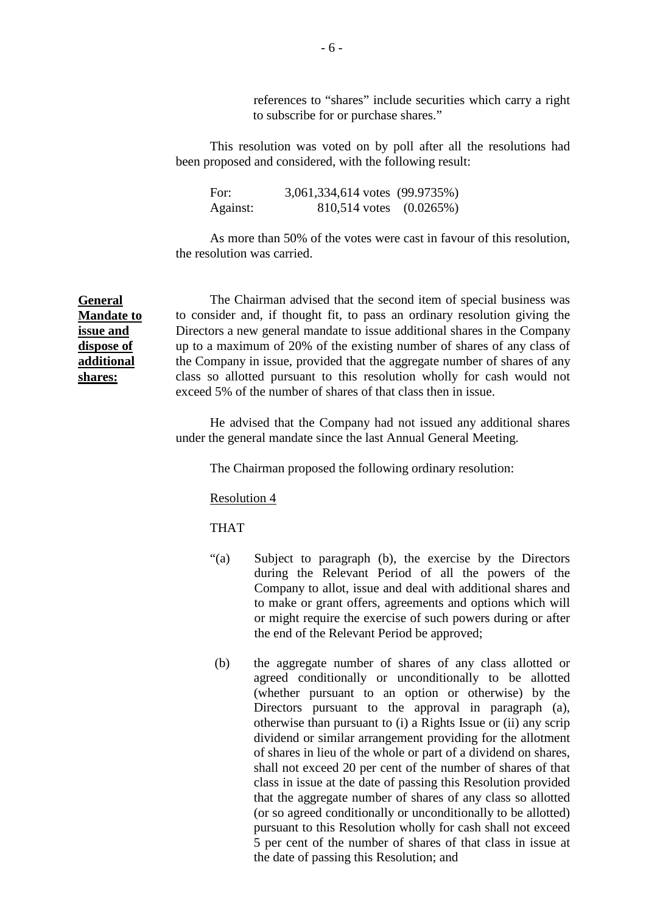references to "shares" include securities which carry a right to subscribe for or purchase shares."

This resolution was voted on by poll after all the resolutions had been proposed and considered, with the following result:

For: 3,061,334,614 votes (99.9735%) Against: 810,514 votes (0.0265%)

As more than 50% of the votes were cast in favour of this resolution, the resolution was carried.

**General Mandate to issue and dispose of additional shares:**

The Chairman advised that the second item of special business was to consider and, if thought fit, to pass an ordinary resolution giving the Directors a new general mandate to issue additional shares in the Company up to a maximum of 20% of the existing number of shares of any class of the Company in issue, provided that the aggregate number of shares of any class so allotted pursuant to this resolution wholly for cash would not exceed 5% of the number of shares of that class then in issue.

He advised that the Company had not issued any additional shares under the general mandate since the last Annual General Meeting.

The Chairman proposed the following ordinary resolution:

Resolution 4

THAT

- "(a) Subject to paragraph (b), the exercise by the Directors during the Relevant Period of all the powers of the Company to allot, issue and deal with additional shares and to make or grant offers, agreements and options which will or might require the exercise of such powers during or after the end of the Relevant Period be approved;
- (b) the aggregate number of shares of any class allotted or agreed conditionally or unconditionally to be allotted (whether pursuant to an option or otherwise) by the Directors pursuant to the approval in paragraph (a), otherwise than pursuant to (i) a Rights Issue or (ii) any scrip dividend or similar arrangement providing for the allotment of shares in lieu of the whole or part of a dividend on shares, shall not exceed 20 per cent of the number of shares of that class in issue at the date of passing this Resolution provided that the aggregate number of shares of any class so allotted (or so agreed conditionally or unconditionally to be allotted) pursuant to this Resolution wholly for cash shall not exceed 5 per cent of the number of shares of that class in issue at the date of passing this Resolution; and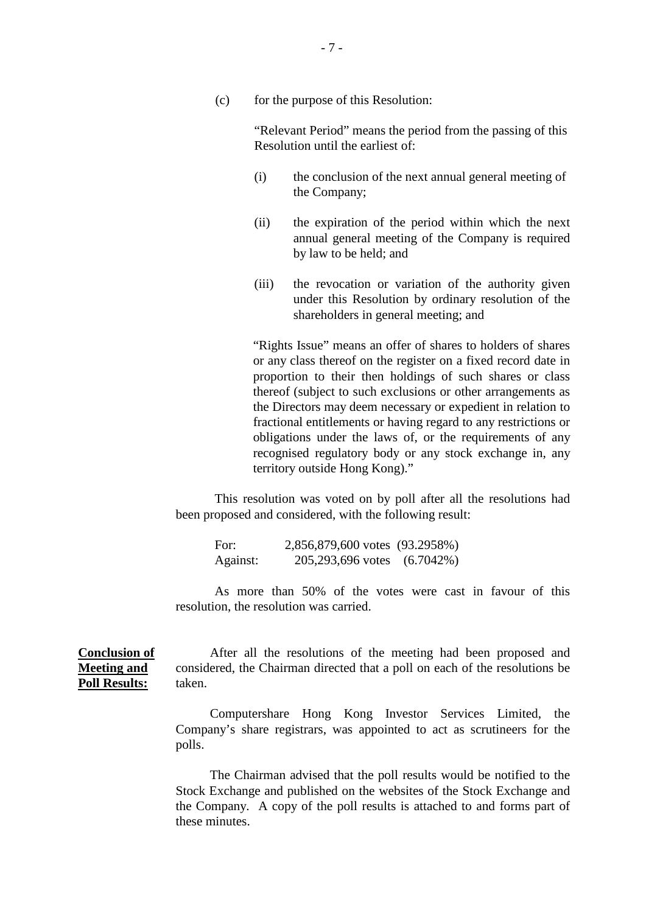(c) for the purpose of this Resolution:

"Relevant Period" means the period from the passing of this Resolution until the earliest of:

- (i) the conclusion of the next annual general meeting of the Company;
- (ii) the expiration of the period within which the next annual general meeting of the Company is required by law to be held; and
- (iii) the revocation or variation of the authority given under this Resolution by ordinary resolution of the shareholders in general meeting; and

"Rights Issue" means an offer of shares to holders of shares or any class thereof on the register on a fixed record date in proportion to their then holdings of such shares or class thereof (subject to such exclusions or other arrangements as the Directors may deem necessary or expedient in relation to fractional entitlements or having regard to any restrictions or obligations under the laws of, or the requirements of any recognised regulatory body or any stock exchange in, any territory outside Hong Kong)."

This resolution was voted on by poll after all the resolutions had been proposed and considered, with the following result:

For: 2,856,879,600 votes (93.2958%) Against: 205,293,696 votes (6.7042%)

As more than 50% of the votes were cast in favour of this resolution, the resolution was carried.

**Conclusion of Meeting and Poll Results:** After all the resolutions of the meeting had been proposed and considered, the Chairman directed that a poll on each of the resolutions be taken.

> Computershare Hong Kong Investor Services Limited, the Company's share registrars, was appointed to act as scrutineers for the polls.

> The Chairman advised that the poll results would be notified to the Stock Exchange and published on the websites of the Stock Exchange and the Company. A copy of the poll results is attached to and forms part of these minutes.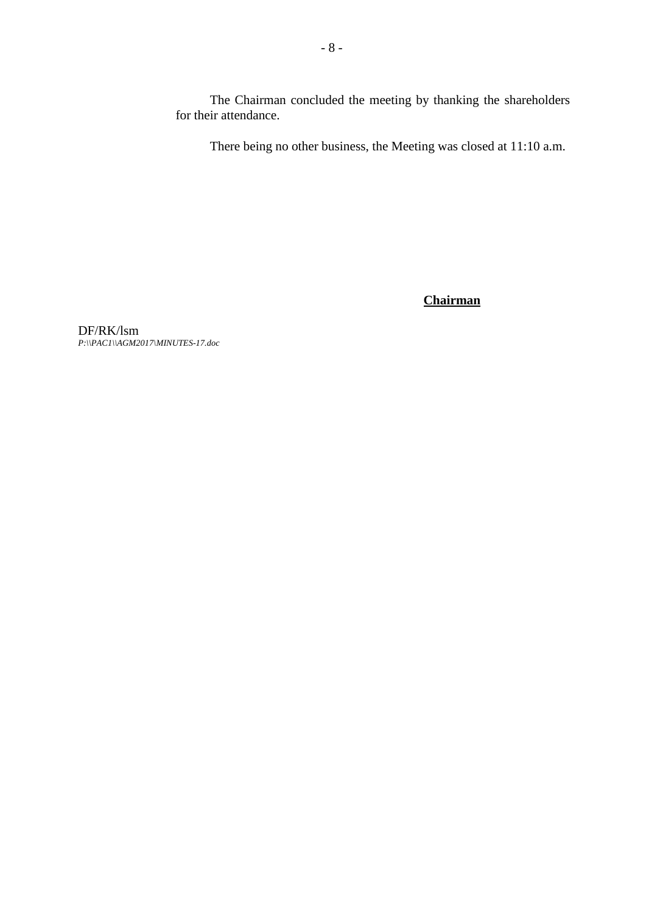The Chairman concluded the meeting by thanking the shareholders for their attendance.

There being no other business, the Meeting was closed at 11:10 a.m.

**Chairman**

DF/RK/lsm *P:\\PAC1\\AGM2017\MINUTES-17.doc*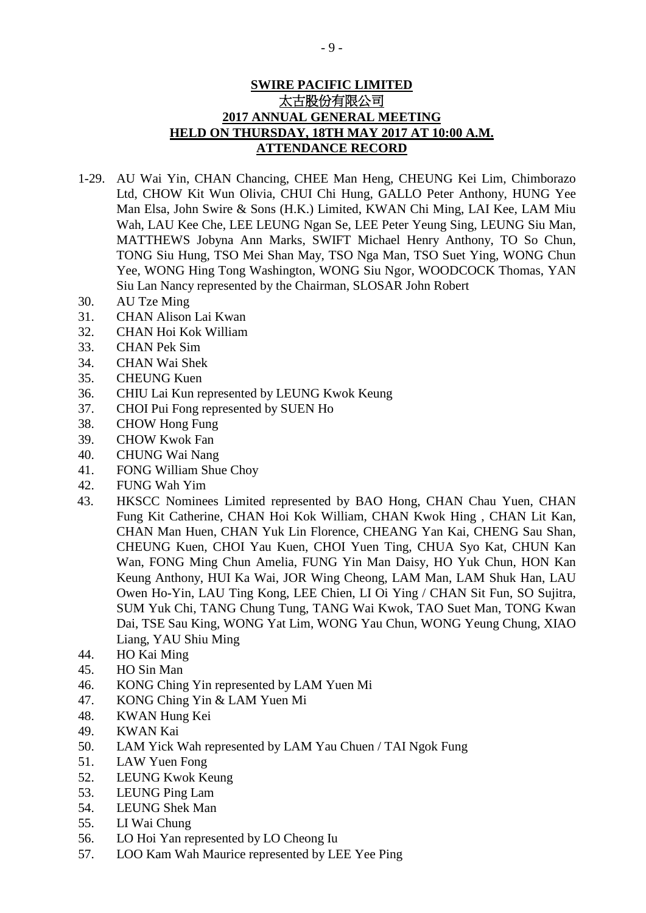## **SWIRE PACIFIC LIMITED** 太古股份有限公司 **2017 ANNUAL GENERAL MEETING HELD ON THURSDAY, 18TH MAY 2017 AT 10:00 A.M. ATTENDANCE RECORD**

- 1-29. AU Wai Yin, CHAN Chancing, CHEE Man Heng, CHEUNG Kei Lim, Chimborazo Ltd, CHOW Kit Wun Olivia, CHUI Chi Hung, GALLO Peter Anthony, HUNG Yee Man Elsa, John Swire & Sons (H.K.) Limited, KWAN Chi Ming, LAI Kee, LAM Miu Wah, LAU Kee Che, LEE LEUNG Ngan Se, LEE Peter Yeung Sing, LEUNG Siu Man, MATTHEWS Jobyna Ann Marks, SWIFT Michael Henry Anthony, TO So Chun, TONG Siu Hung, TSO Mei Shan May, TSO Nga Man, TSO Suet Ying, WONG Chun Yee, WONG Hing Tong Washington, WONG Siu Ngor, WOODCOCK Thomas, YAN Siu Lan Nancy represented by the Chairman, SLOSAR John Robert
- 30. AU Tze Ming
- 31. CHAN Alison Lai Kwan
- 32. CHAN Hoi Kok William
- 33. CHAN Pek Sim
- 34. CHAN Wai Shek
- 35. CHEUNG Kuen
- 36. CHIU Lai Kun represented by LEUNG Kwok Keung
- 37. CHOI Pui Fong represented by SUEN Ho
- 38. CHOW Hong Fung
- 39. CHOW Kwok Fan
- 40. CHUNG Wai Nang
- 41. FONG William Shue Choy
- 42. FUNG Wah Yim
- 43. HKSCC Nominees Limited represented by BAO Hong, CHAN Chau Yuen, CHAN Fung Kit Catherine, CHAN Hoi Kok William, CHAN Kwok Hing , CHAN Lit Kan, CHAN Man Huen, CHAN Yuk Lin Florence, CHEANG Yan Kai, CHENG Sau Shan, CHEUNG Kuen, CHOI Yau Kuen, CHOI Yuen Ting, CHUA Syo Kat, CHUN Kan Wan, FONG Ming Chun Amelia, FUNG Yin Man Daisy, HO Yuk Chun, HON Kan Keung Anthony, HUI Ka Wai, JOR Wing Cheong, LAM Man, LAM Shuk Han, LAU Owen Ho-Yin, LAU Ting Kong, LEE Chien, LI Oi Ying / CHAN Sit Fun, SO Sujitra, SUM Yuk Chi, TANG Chung Tung, TANG Wai Kwok, TAO Suet Man, TONG Kwan Dai, TSE Sau King, WONG Yat Lim, WONG Yau Chun, WONG Yeung Chung, XIAO Liang, YAU Shiu Ming
- 44. HO Kai Ming
- 45. HO Sin Man
- 46. KONG Ching Yin represented by LAM Yuen Mi
- 47. KONG Ching Yin & LAM Yuen Mi
- 48. KWAN Hung Kei
- 49. KWAN Kai
- 50. LAM Yick Wah represented by LAM Yau Chuen / TAI Ngok Fung
- 51. LAW Yuen Fong
- 52. LEUNG Kwok Keung
- 53. LEUNG Ping Lam
- 54. LEUNG Shek Man
- 55. LI Wai Chung
- 56. LO Hoi Yan represented by LO Cheong Iu
- 57. LOO Kam Wah Maurice represented by LEE Yee Ping